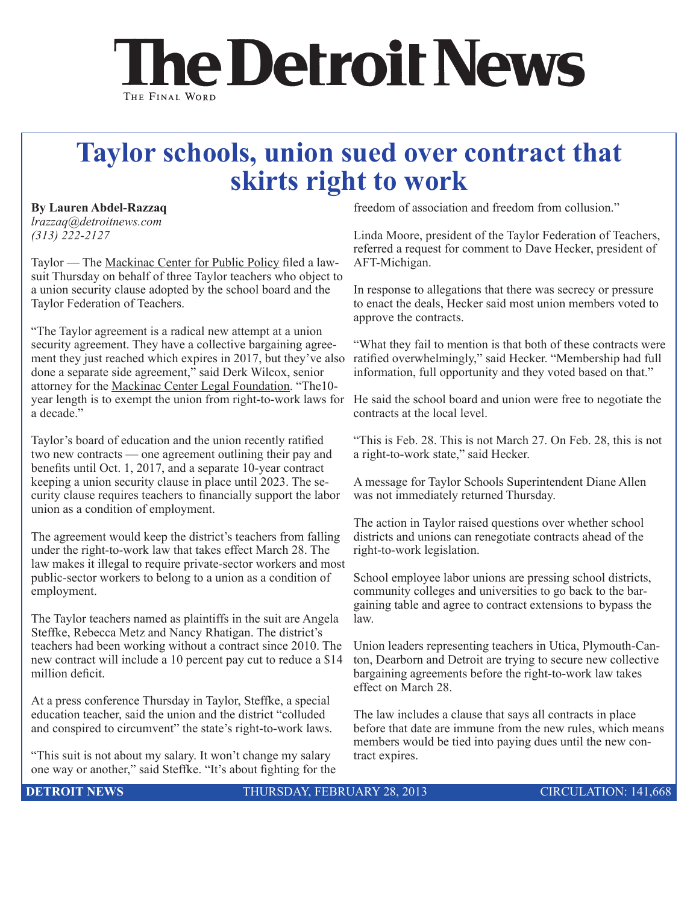## **The Detroit News** THE FINAL WORD

## **Taylor schools, union sued over contract that skirts right to work**

## **By Lauren Abdel-Razzaq**

Ī

*lrazzaq@detroitnews.com (313) 222-2127* 

Taylor — The Mackinac Center for Public Policy filed a lawsuit Thursday on behalf of three Taylor teachers who object to a union security clause adopted by the school board and the Taylor Federation of Teachers.

"The Taylor agreement is a radical new attempt at a union security agreement. They have a collective bargaining agreement they just reached which expires in 2017, but they've also done a separate side agreement," said Derk Wilcox, senior attorney for the Mackinac Center Legal Foundation. "The10 year length is to exempt the union from right-to-work laws for He said the school board and union were free to negotiate the a decade."

Taylor's board of education and the union recently ratified two new contracts — one agreement outlining their pay and benefits until Oct. 1, 2017, and a separate 10-year contract keeping a union security clause in place until 2023. The security clause requires teachers to financially support the labor union as a condition of employment.

The agreement would keep the district's teachers from falling under the right-to-work law that takes effect March 28. The law makes it illegal to require private-sector workers and most public-sector workers to belong to a union as a condition of employment.

The Taylor teachers named as plaintiffs in the suit are Angela Steffke, Rebecca Metz and Nancy Rhatigan. The district's teachers had been working without a contract since 2010. The new contract will include a 10 percent pay cut to reduce a \$14 million deficit.

At a press conference Thursday in Taylor, Steffke, a special education teacher, said the union and the district "colluded and conspired to circumvent" the state's right-to-work laws.

"This suit is not about my salary. It won't change my salary one way or another," said Steffke. "It's about fighting for the freedom of association and freedom from collusion."

Linda Moore, president of the Taylor Federation of Teachers, referred a request for comment to Dave Hecker, president of AFT-Michigan.

In response to allegations that there was secrecy or pressure to enact the deals, Hecker said most union members voted to approve the contracts.

"What they fail to mention is that both of these contracts were ratified overwhelmingly," said Hecker. "Membership had full information, full opportunity and they voted based on that."

contracts at the local level.

"This is Feb. 28. This is not March 27. On Feb. 28, this is not a right-to-work state," said Hecker.

A message for Taylor Schools Superintendent Diane Allen was not immediately returned Thursday.

The action in Taylor raised questions over whether school districts and unions can renegotiate contracts ahead of the right-to-work legislation.

School employee labor unions are pressing school districts, community colleges and universities to go back to the bargaining table and agree to contract extensions to bypass the law.

Union leaders representing teachers in Utica, Plymouth-Canton, Dearborn and Detroit are trying to secure new collective bargaining agreements before the right-to-work law takes effect on March 28.

The law includes a clause that says all contracts in place before that date are immune from the new rules, which means members would be tied into paying dues until the new contract expires.